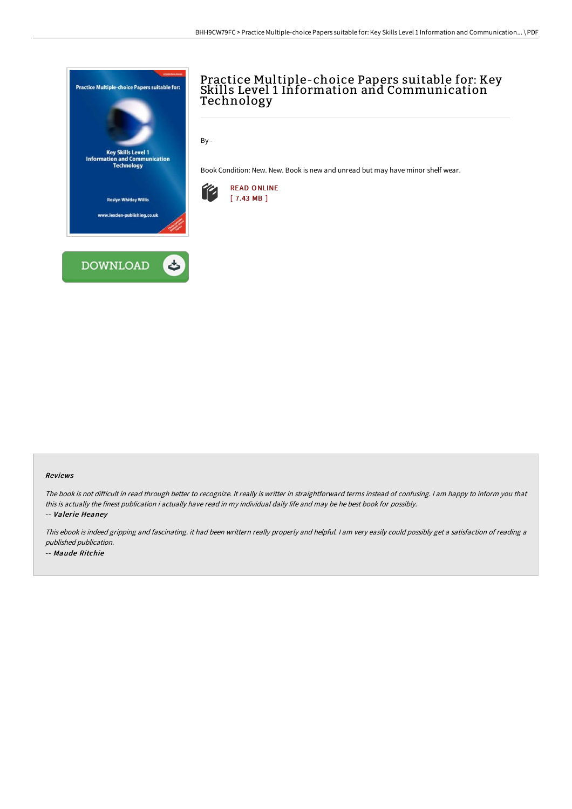



# Practice Multiple-choice Papers suitable for: Key Skills Level 1 Information and Communication Technology

By -

Book Condition: New. New. Book is new and unread but may have minor shelf wear.



#### Reviews

The book is not difficult in read through better to recognize. It really is writter in straightforward terms instead of confusing. I am happy to inform you that this is actually the finest publication i actually have read in my individual daily life and may be he best book for possibly.

-- Valerie Heaney

This ebook is indeed gripping and fascinating. it had been writtern really properly and helpful. <sup>I</sup> am very easily could possibly get <sup>a</sup> satisfaction of reading <sup>a</sup> published publication. -- Maude Ritchie